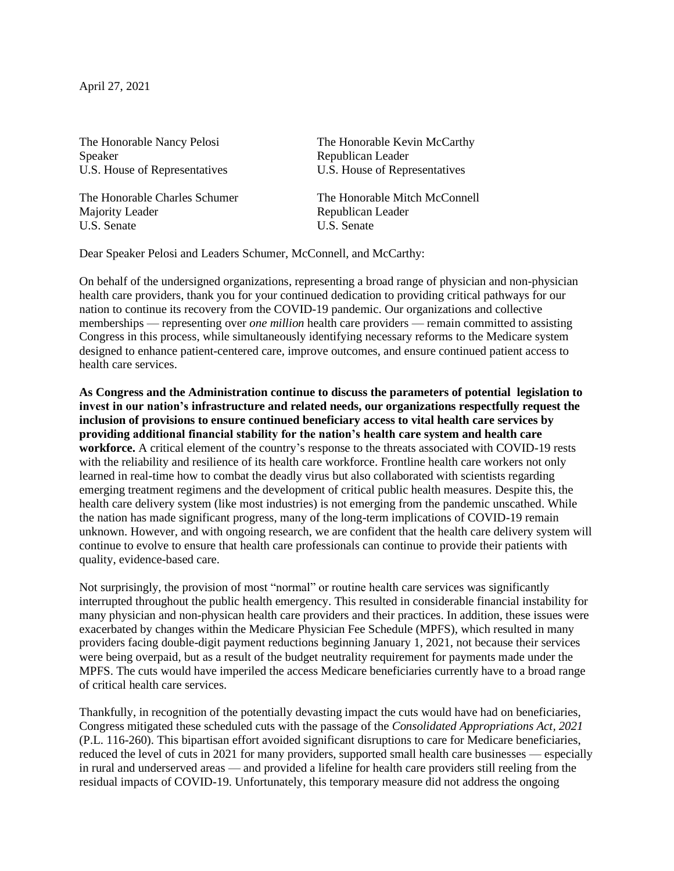April 27, 2021

Speaker Republican Leader

Majority Leader<br>
U.S. Senate<br>
U.S. Senate<br>
C.S. Senate U.S. Senate

The Honorable Nancy Pelosi The Honorable Kevin McCarthy U.S. House of Representatives U.S. House of Representatives

The Honorable Charles Schumer The Honorable Mitch McConnell

Dear Speaker Pelosi and Leaders Schumer, McConnell, and McCarthy:

On behalf of the undersigned organizations, representing a broad range of physician and non-physician health care providers, thank you for your continued dedication to providing critical pathways for our nation to continue its recovery from the COVID-19 pandemic. Our organizations and collective memberships — representing over *one million* health care providers — remain committed to assisting Congress in this process, while simultaneously identifying necessary reforms to the Medicare system designed to enhance patient-centered care, improve outcomes, and ensure continued patient access to health care services.

**As Congress and the Administration continue to discuss the parameters of potential legislation to invest in our nation's infrastructure and related needs, our organizations respectfully request the inclusion of provisions to ensure continued beneficiary access to vital health care services by providing additional financial stability for the nation's health care system and health care workforce.** A critical element of the country's response to the threats associated with COVID-19 rests with the reliability and resilience of its health care workforce. Frontline health care workers not only learned in real-time how to combat the deadly virus but also collaborated with scientists regarding emerging treatment regimens and the development of critical public health measures. Despite this, the health care delivery system (like most industries) is not emerging from the pandemic unscathed. While the nation has made significant progress, many of the long-term implications of COVID-19 remain unknown. However, and with ongoing research, we are confident that the health care delivery system will continue to evolve to ensure that health care professionals can continue to provide their patients with quality, evidence-based care.

Not surprisingly, the provision of most "normal" or routine health care services was significantly interrupted throughout the public health emergency. This resulted in considerable financial instability for many physician and non-physican health care providers and their practices. In addition, these issues were exacerbated by changes within the Medicare Physician Fee Schedule (MPFS), which resulted in many providers facing double-digit payment reductions beginning January 1, 2021, not because their services were being overpaid, but as a result of the budget neutrality requirement for payments made under the MPFS. The cuts would have imperiled the access Medicare beneficiaries currently have to a broad range of critical health care services.

Thankfully, in recognition of the potentially devasting impact the cuts would have had on beneficiaries, Congress mitigated these scheduled cuts with the passage of the *Consolidated Appropriations Act, 2021*  (P.L. 116-260). This bipartisan effort avoided significant disruptions to care for Medicare beneficiaries, reduced the level of cuts in 2021 for many providers, supported small health care businesses — especially in rural and underserved areas — and provided a lifeline for health care providers still reeling from the residual impacts of COVID-19. Unfortunately, this temporary measure did not address the ongoing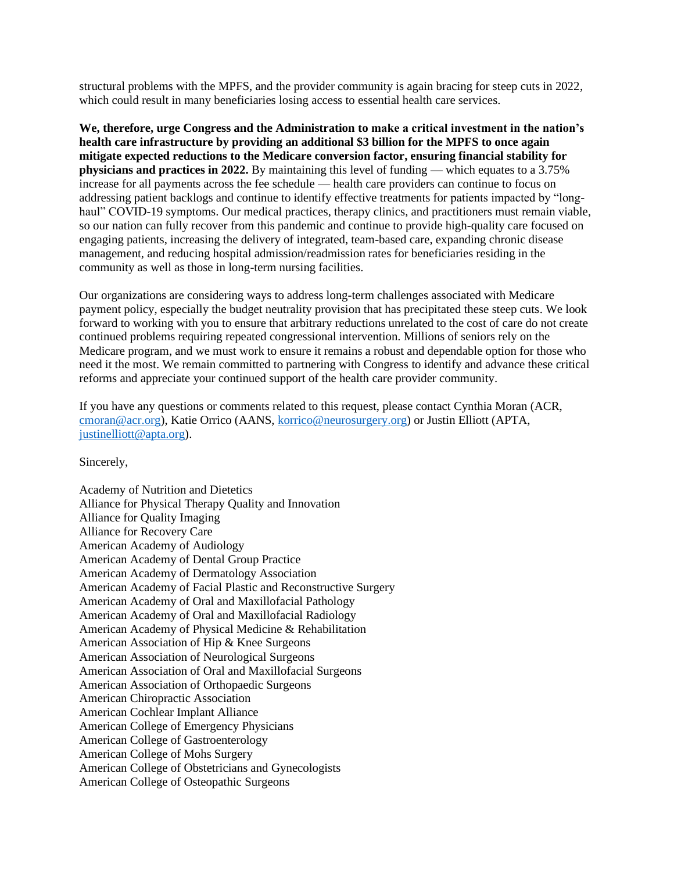structural problems with the MPFS, and the provider community is again bracing for steep cuts in 2022, which could result in many beneficiaries losing access to essential health care services.

**We, therefore, urge Congress and the Administration to make a critical investment in the nation's health care infrastructure by providing an additional \$3 billion for the MPFS to once again mitigate expected reductions to the Medicare conversion factor, ensuring financial stability for physicians and practices in 2022.** By maintaining this level of funding — which equates to a 3.75% increase for all payments across the fee schedule — health care providers can continue to focus on addressing patient backlogs and continue to identify effective treatments for patients impacted by "longhaul" COVID-19 symptoms. Our medical practices, therapy clinics, and practitioners must remain viable, so our nation can fully recover from this pandemic and continue to provide high-quality care focused on engaging patients, increasing the delivery of integrated, team-based care, expanding chronic disease management, and reducing hospital admission/readmission rates for beneficiaries residing in the community as well as those in long-term nursing facilities.

Our organizations are considering ways to address long-term challenges associated with Medicare payment policy, especially the budget neutrality provision that has precipitated these steep cuts. We look forward to working with you to ensure that arbitrary reductions unrelated to the cost of care do not create continued problems requiring repeated congressional intervention. Millions of seniors rely on the Medicare program, and we must work to ensure it remains a robust and dependable option for those who need it the most. We remain committed to partnering with Congress to identify and advance these critical reforms and appreciate your continued support of the health care provider community.

If you have any questions or comments related to this request, please contact Cynthia Moran (ACR, [cmoran@acr.org\)](mailto:cmoran@acr.org), Katie Orrico (AANS, [korrico@neurosurgery.org\)](mailto:korrico@neurosurgery.org) or Justin Elliott (APTA, [justinelliott@apta.org\)](mailto:justinelliott@apta.org).

Sincerely,

Academy of Nutrition and Dietetics Alliance for Physical Therapy Quality and Innovation Alliance for Quality Imaging Alliance for Recovery Care American Academy of Audiology American Academy of Dental Group Practice American Academy of Dermatology Association American Academy of Facial Plastic and Reconstructive Surgery American Academy of Oral and Maxillofacial Pathology American Academy of Oral and Maxillofacial Radiology American Academy of Physical Medicine & Rehabilitation American Association of Hip & Knee Surgeons American Association of Neurological Surgeons American Association of Oral and Maxillofacial Surgeons American Association of Orthopaedic Surgeons American Chiropractic Association American Cochlear Implant Alliance American College of Emergency Physicians American College of Gastroenterology American College of Mohs Surgery American College of Obstetricians and Gynecologists American College of Osteopathic Surgeons